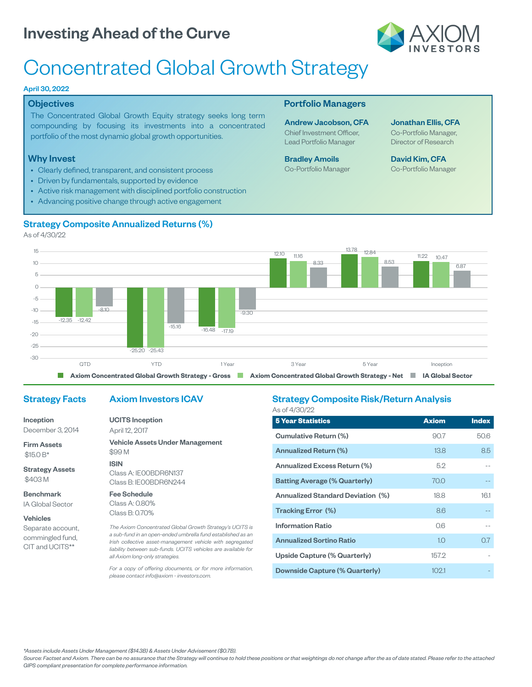# Investing Ahead of the Curve



# Concentrated Global Growth Strategy

#### April 30, 2022

#### **Objectives**

The Concentrated Global Growth Equity strategy seeks long term compounding by focusing its investments into a concentrated portfolio of the most dynamic global growth opportunities.

#### Why Invest

- Clearly defined, transparent, and consistent process
- Driven by fundamentals, supported by evidence
- Active risk management with disciplined portfolio construction
- Advancing positive change through active engagement

### Portfolio Managers

Andrew Jacobson, CFA Chief Investment Officer, Lead Portfolio Manager

Bradley Amoils Co-Portfolio Manager Jonathan Ellis, CFA Co-Portfolio Manager,

Director of Research

David Kim, CFA Co-Portfolio Manager



As of 4/30/22



## Strategy Facts

## Axiom Investors ICAV

Inception December 3, 2014

Firm Assets \$15.0 B\*

Strategy Assets \$403 M

Benchmark IA Global Sector

#### Vehicles

Separate account, commingled fund, CIT and UCITS\*\*

# UCITS Inception April 12, 2017

Vehicle Assets Under Management \$99 M ISIN Class A: IE00BDR6N137 Class B: IE00BDR6N244

Fee Schedule

Class A: 0.80% Class B: 0.70%

*The Axiom Concentrated Global Growth Strategy's UCITS is a sub-fund in an open-ended umbrella fund established as an Irish collective asset-management vehicle with segregated liability between sub-funds. UCITS vehicles are available for all Axiom long-only strategies.*

*For a copy of offering documents, or for more information, please contact info@axiom - investors.com.*

#### Strategy Composite Risk/Return Analysis As of 4/30/22

| <b>5 Year Statistics</b>                 | <b>Axiom</b>      | <b>Index</b> |
|------------------------------------------|-------------------|--------------|
| Cumulative Return (%)                    | 90.7              | 50.6         |
| Annualized Return (%)                    | 13.8 <sup>2</sup> | 8.5          |
| Annualized Excess Return (%)             | 5.2               |              |
| <b>Batting Average (% Quarterly)</b>     | 70.0              |              |
| <b>Annualized Standard Deviation (%)</b> | 18.8              | 16.1         |
| Tracking Error (%)                       | 8.6               |              |
| <b>Information Ratio</b>                 | 0.6               |              |
| <b>Annualized Sortino Ratio</b>          | 1.0               | 0.7          |
| Upside Capture (% Quarterly)             | 157.2             |              |
| Downside Capture (% Quarterly)           | 102.1             |              |

*\*Assets include Assets Under Management (\$14.3B) & Assets Under Advisement (\$0.7B).*

*Source: Factset and Axiom. There can be no assurance that the Strategy will continue to hold these positions or that weightings do not change after the as of date stated. Please refer to the attached GIPS compliant presentation for complete performance information.*